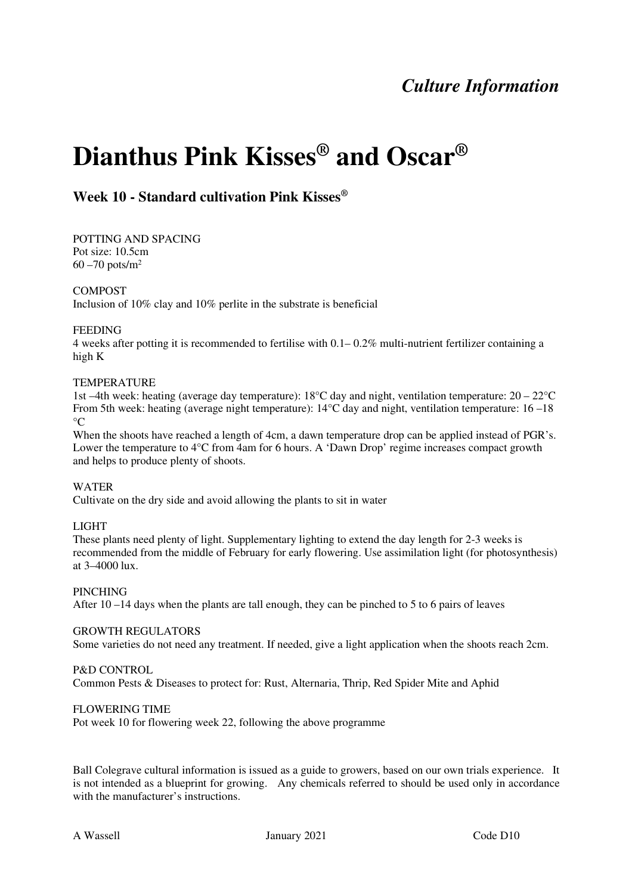## *Culture Information*

# **Dianthus Pink Kisses® and Oscar®**

## **Week 10 - Standard cultivation Pink Kisses®**

POTTING AND SPACING Pot size: 10.5cm  $60 - 70$  pots/m<sup>2</sup>

#### COMPOST

Inclusion of 10% clay and 10% perlite in the substrate is beneficial

#### FEEDING

4 weeks after potting it is recommended to fertilise with  $0.1-0.2\%$  multi-nutrient fertilizer containing a high K

#### TEMPERATURE

1st –4th week: heating (average day temperature): 18°C day and night, ventilation temperature: 20 – 22°C From 5th week: heating (average night temperature): 14°C day and night, ventilation temperature: 16 –18  $\rm ^{\circ}C$ 

When the shoots have reached a length of 4cm, a dawn temperature drop can be applied instead of PGR's. Lower the temperature to 4<sup>o</sup>C from 4am for 6 hours. A 'Dawn Drop' regime increases compact growth and helps to produce plenty of shoots.

#### WATER

Cultivate on the dry side and avoid allowing the plants to sit in water

#### LIGHT

These plants need plenty of light. Supplementary lighting to extend the day length for 2-3 weeks is recommended from the middle of February for early flowering. Use assimilation light (for photosynthesis) at 3–4000 lux.

#### PINCHING

After 10 –14 days when the plants are tall enough, they can be pinched to 5 to 6 pairs of leaves

#### GROWTH REGULATORS

Some varieties do not need any treatment. If needed, give a light application when the shoots reach 2cm.

#### P&D CONTROL

Common Pests & Diseases to protect for: Rust, Alternaria, Thrip, Red Spider Mite and Aphid

#### FLOWERING TIME

Pot week 10 for flowering week 22, following the above programme

Ball Colegrave cultural information is issued as a guide to growers, based on our own trials experience. It is not intended as a blueprint for growing. Any chemicals referred to should be used only in accordance with the manufacturer's instructions.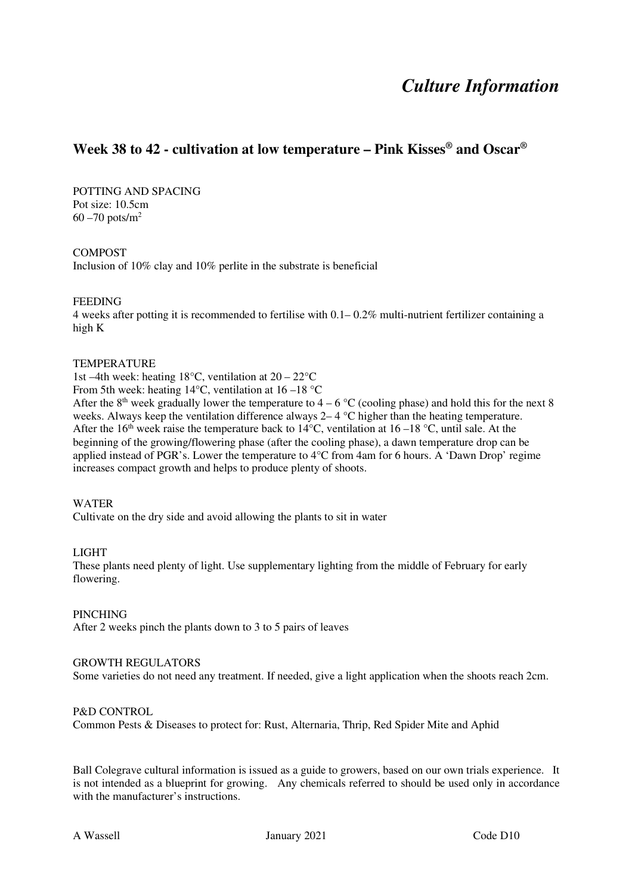## *Culture Information*

### **Week 38 to 42 - cultivation at low temperature – Pink Kisses® and Oscar®**

POTTING AND SPACING Pot size: 10.5cm  $60 - 70$  pots/m<sup>2</sup>

#### COMPOST

Inclusion of 10% clay and 10% perlite in the substrate is beneficial

#### FEEDING

4 weeks after potting it is recommended to fertilise with  $0.1-0.2\%$  multi-nutrient fertilizer containing a high K

#### **TEMPERATURE**

1st –4th week: heating  $18^{\circ}$ C, ventilation at  $20 - 22^{\circ}$ C

From 5th week: heating 14°C, ventilation at 16 –18 °C

After the 8<sup>th</sup> week gradually lower the temperature to  $4 - 6$  °C (cooling phase) and hold this for the next 8 weeks. Always keep the ventilation difference always 2– 4 °C higher than the heating temperature. After the 16<sup>th</sup> week raise the temperature back to 14<sup>o</sup>C, ventilation at 16 –18<sup>o</sup>C, until sale. At the beginning of the growing/flowering phase (after the cooling phase), a dawn temperature drop can be applied instead of PGR's. Lower the temperature to 4°C from 4am for 6 hours. A 'Dawn Drop' regime increases compact growth and helps to produce plenty of shoots.

#### WATER

Cultivate on the dry side and avoid allowing the plants to sit in water

#### LIGHT

These plants need plenty of light. Use supplementary lighting from the middle of February for early flowering.

#### PINCHING

After 2 weeks pinch the plants down to 3 to 5 pairs of leaves

#### GROWTH REGULATORS

Some varieties do not need any treatment. If needed, give a light application when the shoots reach 2cm.

#### P&D CONTROL

Common Pests & Diseases to protect for: Rust, Alternaria, Thrip, Red Spider Mite and Aphid

Ball Colegrave cultural information is issued as a guide to growers, based on our own trials experience. It is not intended as a blueprint for growing. Any chemicals referred to should be used only in accordance with the manufacturer's instructions.